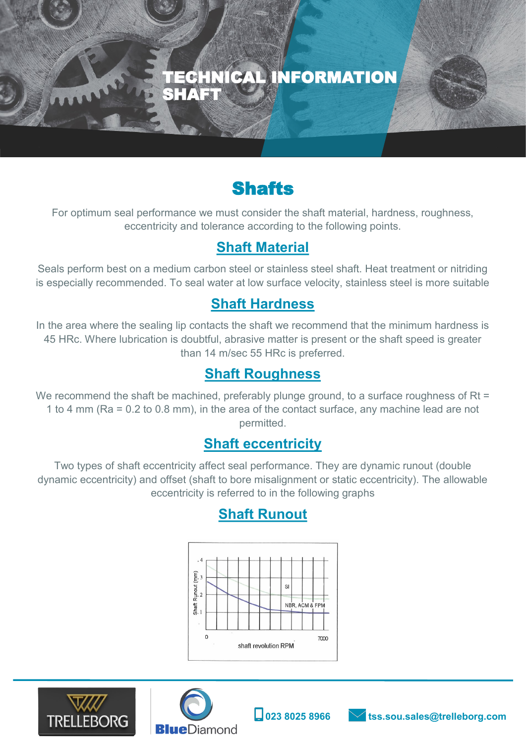

# **Shafts**

For optimum seal performance we must consider the shaft material, hardness, roughness, eccentricity and tolerance according to the following points.

### **Shaft Material**

Seals perform best on a medium carbon steel or stainless steel shaft. Heat treatment or nitriding is especially recommended. To seal water at low surface velocity, stainless steel is more suitable

#### **Shaft Hardness**

In the area where the sealing lip contacts the shaft we recommend that the minimum hardness is 45 HRc. Where lubrication is doubtful, abrasive matter is present or the shaft speed is greater than 14 m/sec 55 HRc is preferred.

#### **Shaft Roughness**

We recommend the shaft be machined, preferably plunge ground, to a surface roughness of Rt = 1 to 4 mm (Ra = 0.2 to 0.8 mm), in the area of the contact surface, any machine lead are not permitted.

#### **Shaft eccentricity**

Two types of shaft eccentricity affect seal performance. They are dynamic runout (double dynamic eccentricity) and offset (shaft to bore misalignment or static eccentricity). The allowable eccentricity is referred to in the following graphs

### **Shaft Runout**





ì



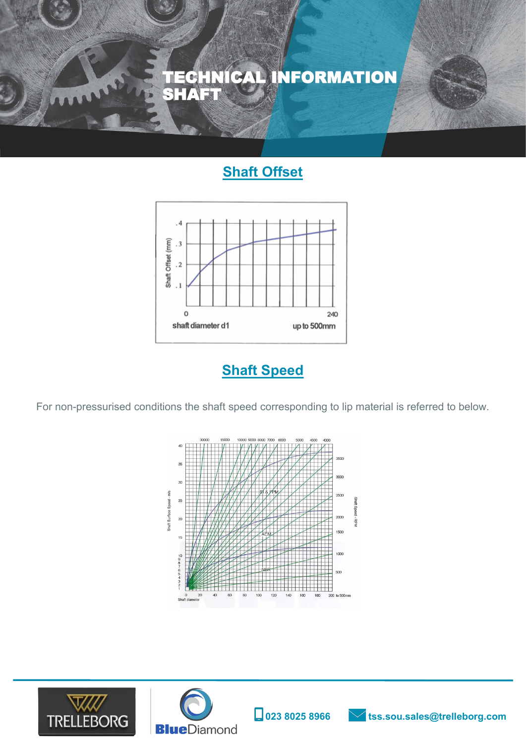

# **Shaft Offset**



**Shaft Speed**

For non-pressurised conditions the shaft speed corresponding to lip material is referred to below.